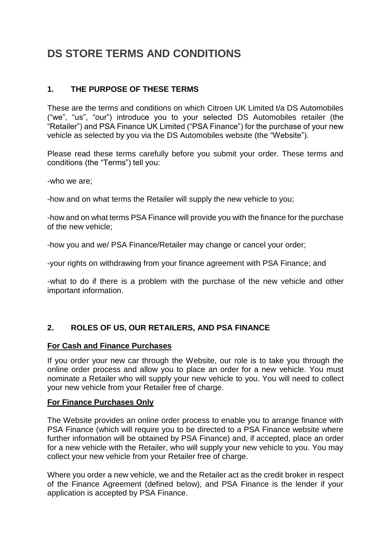# **DS STORE TERMS AND CONDITIONS**

# **1. THE PURPOSE OF THESE TERMS**

These are the terms and conditions on which Citroen UK Limited t/a DS Automobiles ("we", "us", "our") introduce you to your selected DS Automobiles retailer (the "Retailer") and PSA Finance UK Limited ("PSA Finance") for the purchase of your new vehicle as selected by you via the DS Automobiles website (the "Website").

Please read these terms carefully before you submit your order. These terms and conditions (the "Terms") tell you:

-who we are;

-how and on what terms the Retailer will supply the new vehicle to you;

-how and on what terms PSA Finance will provide you with the finance for the purchase of the new vehicle;

-how you and we/ PSA Finance/Retailer may change or cancel your order;

-your rights on withdrawing from your finance agreement with PSA Finance; and

-what to do if there is a problem with the purchase of the new vehicle and other important information.

# **2. ROLES OF US, OUR RETAILERS, AND PSA FINANCE**

### **For Cash and Finance Purchases**

If you order your new car through the Website, our role is to take you through the online order process and allow you to place an order for a new vehicle. You must nominate a Retailer who will supply your new vehicle to you. You will need to collect your new vehicle from your Retailer free of charge.

### **For Finance Purchases Only**

The Website provides an online order process to enable you to arrange finance with PSA Finance (which will require you to be directed to a PSA Finance website where further information will be obtained by PSA Finance) and, if accepted, place an order for a new vehicle with the Retailer, who will supply your new vehicle to you. You may collect your new vehicle from your Retailer free of charge.

Where you order a new vehicle, we and the Retailer act as the credit broker in respect of the Finance Agreement (defined below), and PSA Finance is the lender if your application is accepted by PSA Finance.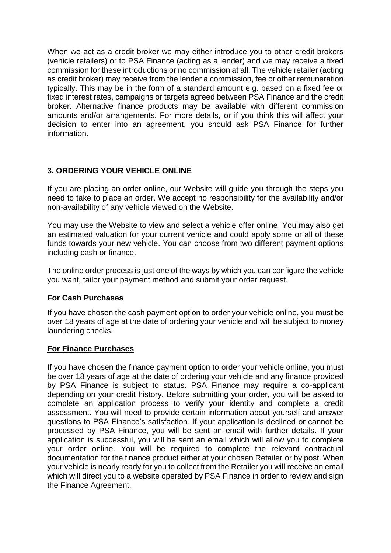When we act as a credit broker we may either introduce you to other credit brokers (vehicle retailers) or to PSA Finance (acting as a lender) and we may receive a fixed commission for these introductions or no commission at all. The vehicle retailer (acting as credit broker) may receive from the lender a commission, fee or other remuneration typically. This may be in the form of a standard amount e.g. based on a fixed fee or fixed interest rates, campaigns or targets agreed between PSA Finance and the credit broker. Alternative finance products may be available with different commission amounts and/or arrangements. For more details, or if you think this will affect your decision to enter into an agreement, you should ask PSA Finance for further information.

# **3. ORDERING YOUR VEHICLE ONLINE**

If you are placing an order online, our Website will guide you through the steps you need to take to place an order. We accept no responsibility for the availability and/or non-availability of any vehicle viewed on the Website.

You may use the Website to view and select a vehicle offer online. You may also get an estimated valuation for your current vehicle and could apply some or all of these funds towards your new vehicle. You can choose from two different payment options including cash or finance.

The online order process is just one of the ways by which you can configure the vehicle you want, tailor your payment method and submit your order request.

# **For Cash Purchases**

If you have chosen the cash payment option to order your vehicle online, you must be over 18 years of age at the date of ordering your vehicle and will be subject to money laundering checks.

### **For Finance Purchases**

If you have chosen the finance payment option to order your vehicle online, you must be over 18 years of age at the date of ordering your vehicle and any finance provided by PSA Finance is subject to status. PSA Finance may require a co-applicant depending on your credit history. Before submitting your order, you will be asked to complete an application process to verify your identity and complete a credit assessment. You will need to provide certain information about yourself and answer questions to PSA Finance's satisfaction. If your application is declined or cannot be processed by PSA Finance, you will be sent an email with further details. If your application is successful, you will be sent an email which will allow you to complete your order online. You will be required to complete the relevant contractual documentation for the finance product either at your chosen Retailer or by post. When your vehicle is nearly ready for you to collect from the Retailer you will receive an email which will direct you to a website operated by PSA Finance in order to review and sign the Finance Agreement.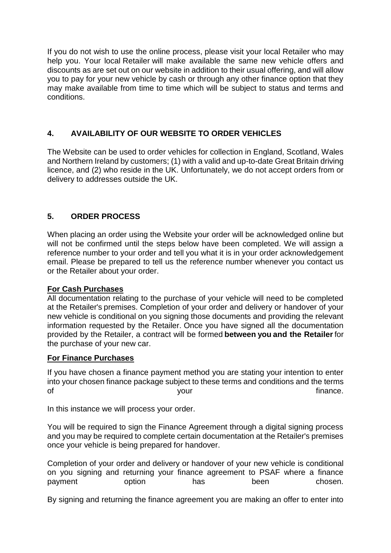If you do not wish to use the online process, please visit your local Retailer who may help you. Your local Retailer will make available the same new vehicle offers and discounts as are set out on our website in addition to their usual offering, and will allow you to pay for your new vehicle by cash or through any other finance option that they may make available from time to time which will be subject to status and terms and conditions.

# **4. AVAILABILITY OF OUR WEBSITE TO ORDER VEHICLES**

The Website can be used to order vehicles for collection in England, Scotland, Wales and Northern Ireland by customers; (1) with a valid and up-to-date Great Britain driving licence, and (2) who reside in the UK. Unfortunately, we do not accept orders from or delivery to addresses outside the UK.

### **5. ORDER PROCESS**

When placing an order using the Website your order will be acknowledged online but will not be confirmed until the steps below have been completed. We will assign a reference number to your order and tell you what it is in your order acknowledgement email. Please be prepared to tell us the reference number whenever you contact us or the Retailer about your order.

### **For Cash Purchases**

All documentation relating to the purchase of your vehicle will need to be completed at the Retailer's premises. Completion of your order and delivery or handover of your new vehicle is conditional on you signing those documents and providing the relevant information requested by the Retailer. Once you have signed all the documentation provided by the Retailer, a contract will be formed **between you and the Retailer** for the purchase of your new car.

### **For Finance Purchases**

If you have chosen a finance payment method you are stating your intention to enter into your chosen finance package subject to these terms and conditions and the terms of the contract of the contract of the contract of the contract of the contract of the contract of the contract of the contract of the contract of the contract of the contract of the contract of the contract of the contrac

In this instance we will process your order.

You will be required to sign the Finance Agreement through a digital signing process and you may be required to complete certain documentation at the Retailer's premises once your vehicle is being prepared for handover.

Completion of your order and delivery or handover of your new vehicle is conditional on you signing and returning your finance agreement to PSAF where a finance payment option has been chosen.

By signing and returning the finance agreement you are making an offer to enter into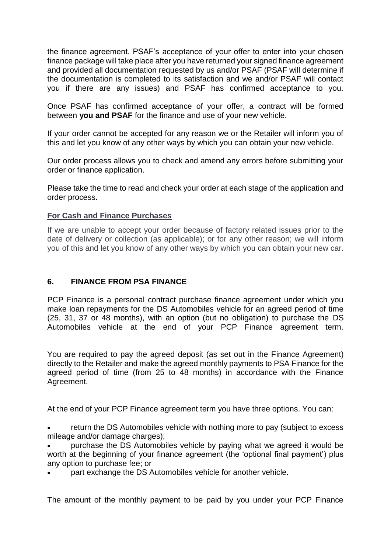the finance agreement. PSAF's acceptance of your offer to enter into your chosen finance package will take place after you have returned your signed finance agreement and provided all documentation requested by us and/or PSAF (PSAF will determine if the documentation is completed to its satisfaction and we and/or PSAF will contact you if there are any issues) and PSAF has confirmed acceptance to you.

Once PSAF has confirmed acceptance of your offer, a contract will be formed between **you and PSAF** for the finance and use of your new vehicle.

If your order cannot be accepted for any reason we or the Retailer will inform you of this and let you know of any other ways by which you can obtain your new vehicle.

Our order process allows you to check and amend any errors before submitting your order or finance application.

Please take the time to read and check your order at each stage of the application and order process.

### **For Cash and Finance Purchases**

If we are unable to accept your order because of factory related issues prior to the date of delivery or collection (as applicable); or for any other reason; we will inform you of this and let you know of any other ways by which you can obtain your new car.

# **6. FINANCE FROM PSA FINANCE**

PCP Finance is a personal contract purchase finance agreement under which you make loan repayments for the DS Automobiles vehicle for an agreed period of time (25, 31, 37 or 48 months), with an option (but no obligation) to purchase the DS Automobiles vehicle at the end of your PCP Finance agreement term.

You are required to pay the agreed deposit (as set out in the Finance Agreement) directly to the Retailer and make the agreed monthly payments to PSA Finance for the agreed period of time (from 25 to 48 months) in accordance with the Finance Agreement.

At the end of your PCP Finance agreement term you have three options. You can:

 return the DS Automobiles vehicle with nothing more to pay (subject to excess mileage and/or damage charges);

 purchase the DS Automobiles vehicle by paying what we agreed it would be worth at the beginning of your finance agreement (the 'optional final payment') plus any option to purchase fee; or

part exchange the DS Automobiles vehicle for another vehicle.

The amount of the monthly payment to be paid by you under your PCP Finance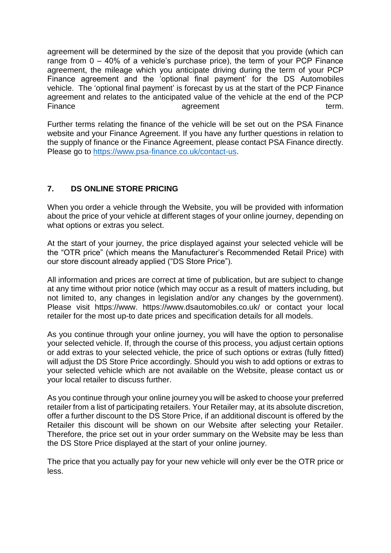agreement will be determined by the size of the deposit that you provide (which can range from  $0 - 40\%$  of a vehicle's purchase price), the term of your PCP Finance agreement, the mileage which you anticipate driving during the term of your PCP Finance agreement and the 'optional final payment' for the DS Automobiles vehicle. The 'optional final payment' is forecast by us at the start of the PCP Finance agreement and relates to the anticipated value of the vehicle at the end of the PCP Finance **agreement** and term.

Further terms relating the finance of the vehicle will be set out on the PSA Finance website and your Finance Agreement. If you have any further questions in relation to the supply of finance or the Finance Agreement, please contact PSA Finance directly. Please go to [https://www.psa-finance.co.uk/contact-us.](https://www.psa-finance.co.uk/contact-us)

# **7. DS ONLINE STORE PRICING**

When you order a vehicle through the Website, you will be provided with information about the price of your vehicle at different stages of your online journey, depending on what options or extras you select.

At the start of your journey, the price displayed against your selected vehicle will be the "OTR price" (which means the Manufacturer's Recommended Retail Price) with our store discount already applied ("DS Store Price").

All information and prices are correct at time of publication, but are subject to change at any time without prior notice (which may occur as a result of matters including, but not limited to, any changes in legislation and/or any changes by the government). Please visit https://www. https://www.dsautomobiles.co.uk/ or contact your local retailer for the most up-to date prices and specification details for all models.

As you continue through your online journey, you will have the option to personalise your selected vehicle. If, through the course of this process, you adjust certain options or add extras to your selected vehicle, the price of such options or extras (fully fitted) will adjust the DS Store Price accordingly. Should you wish to add options or extras to your selected vehicle which are not available on the Website, please contact us or your local retailer to discuss further.

As you continue through your online journey you will be asked to choose your preferred retailer from a list of participating retailers. Your Retailer may, at its absolute discretion, offer a further discount to the DS Store Price, if an additional discount is offered by the Retailer this discount will be shown on our Website after selecting your Retailer. Therefore, the price set out in your order summary on the Website may be less than the DS Store Price displayed at the start of your online journey.

The price that you actually pay for your new vehicle will only ever be the OTR price or less.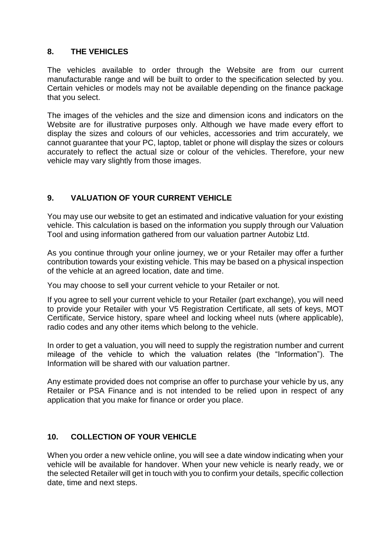# **8. THE VEHICLES**

The vehicles available to order through the Website are from our current manufacturable range and will be built to order to the specification selected by you. Certain vehicles or models may not be available depending on the finance package that you select.

The images of the vehicles and the size and dimension icons and indicators on the Website are for illustrative purposes only. Although we have made every effort to display the sizes and colours of our vehicles, accessories and trim accurately, we cannot guarantee that your PC, laptop, tablet or phone will display the sizes or colours accurately to reflect the actual size or colour of the vehicles. Therefore, your new vehicle may vary slightly from those images.

# **9. VALUATION OF YOUR CURRENT VEHICLE**

You may use our website to get an estimated and indicative valuation for your existing vehicle. This calculation is based on the information you supply through our Valuation Tool and using information gathered from our valuation partner Autobiz Ltd.

As you continue through your online journey, we or your Retailer may offer a further contribution towards your existing vehicle. This may be based on a physical inspection of the vehicle at an agreed location, date and time.

You may choose to sell your current vehicle to your Retailer or not.

If you agree to sell your current vehicle to your Retailer (part exchange), you will need to provide your Retailer with your V5 Registration Certificate, all sets of keys, MOT Certificate, Service history, spare wheel and locking wheel nuts (where applicable), radio codes and any other items which belong to the vehicle.

In order to get a valuation, you will need to supply the registration number and current mileage of the vehicle to which the valuation relates (the "Information"). The Information will be shared with our valuation partner.

Any estimate provided does not comprise an offer to purchase your vehicle by us, any Retailer or PSA Finance and is not intended to be relied upon in respect of any application that you make for finance or order you place.

# **10. COLLECTION OF YOUR VEHICLE**

When you order a new vehicle online, you will see a date window indicating when your vehicle will be available for handover. When your new vehicle is nearly ready, we or the selected Retailer will get in touch with you to confirm your details, specific collection date, time and next steps.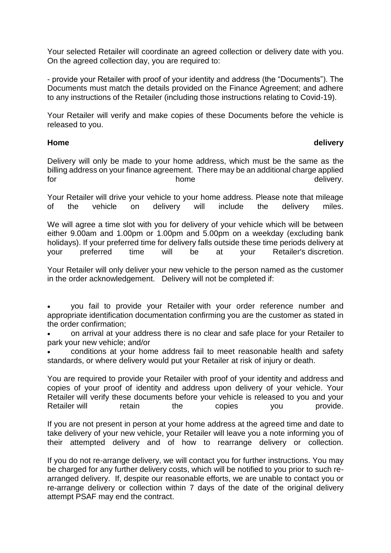Your selected Retailer will coordinate an agreed collection or delivery date with you. On the agreed collection day, you are required to:

- provide your Retailer with proof of your identity and address (the "Documents"). The Documents must match the details provided on the Finance Agreement; and adhere to any instructions of the Retailer (including those instructions relating to Covid-19).

Your Retailer will verify and make copies of these Documents before the vehicle is released to you.

### **Home delivery**

Delivery will only be made to your home address, which must be the same as the billing address on your finance agreement. There may be an additional charge applied for the contract of the home that the delivery.

Your Retailer will drive your vehicle to your home address. Please note that mileage of the vehicle on delivery will include the delivery miles.

We will agree a time slot with you for delivery of your vehicle which will be between either 9.00am and 1.00pm or 1.00pm and 5.00pm on a weekday (excluding bank holidays). If your preferred time for delivery falls outside these time periods delivery at your preferred time will be at your Retailer's discretion.

Your Retailer will only deliver your new vehicle to the person named as the customer in the order acknowledgement. Delivery will not be completed if:

 you fail to provide your Retailer with your order reference number and appropriate identification documentation confirming you are the customer as stated in the order confirmation;

 on arrival at your address there is no clear and safe place for your Retailer to park your new vehicle; and/or

 conditions at your home address fail to meet reasonable health and safety standards, or where delivery would put your Retailer at risk of injury or death.

You are required to provide your Retailer with proof of your identity and address and copies of your proof of identity and address upon delivery of your vehicle. Your Retailer will verify these documents before your vehicle is released to you and your Retailer will retain the copies you provide.

If you are not present in person at your home address at the agreed time and date to take delivery of your new vehicle, your Retailer will leave you a note informing you of their attempted delivery and of how to rearrange delivery or collection.

If you do not re-arrange delivery, we will contact you for further instructions. You may be charged for any further delivery costs, which will be notified to you prior to such rearranged delivery. If, despite our reasonable efforts, we are unable to contact you or re-arrange delivery or collection within 7 days of the date of the original delivery attempt PSAF may end the contract.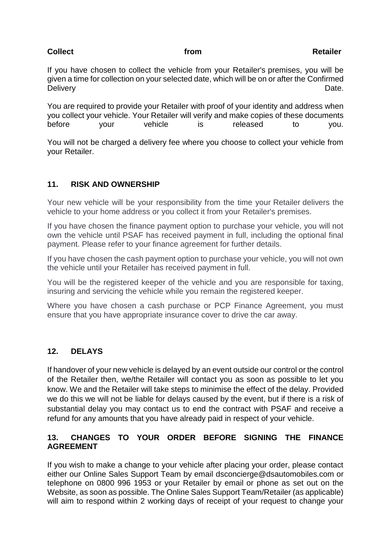### **Collect Collect Collect Collect Collect Collect Collect Collect Collect Collect Collect Collect Collect Collect**

If you have chosen to collect the vehicle from your Retailer's premises, you will be given a time for collection on your selected date, which will be on or after the Confirmed Delivery **Delivery Date.** 

You are required to provide your Retailer with proof of your identity and address when you collect your vehicle. Your Retailer will verify and make copies of these documents before your vehicle is released to you.

You will not be charged a delivery fee where you choose to collect your vehicle from your Retailer.

# **11. RISK AND OWNERSHIP**

Your new vehicle will be your responsibility from the time your Retailer delivers the vehicle to your home address or you collect it from your Retailer's premises.

If you have chosen the finance payment option to purchase your vehicle, you will not own the vehicle until PSAF has received payment in full, including the optional final payment. Please refer to your finance agreement for further details.

If you have chosen the cash payment option to purchase your vehicle, you will not own the vehicle until your Retailer has received payment in full.

You will be the registered keeper of the vehicle and you are responsible for taxing, insuring and servicing the vehicle while you remain the registered keeper.

Where you have chosen a cash purchase or PCP Finance Agreement, you must ensure that you have appropriate insurance cover to drive the car away.

# **12. DELAYS**

If handover of your new vehicle is delayed by an event outside our control or the control of the Retailer then, we/the Retailer will contact you as soon as possible to let you know. We and the Retailer will take steps to minimise the effect of the delay. Provided we do this we will not be liable for delays caused by the event, but if there is a risk of substantial delay you may contact us to end the contract with PSAF and receive a refund for any amounts that you have already paid in respect of your vehicle.

### **13. CHANGES TO YOUR ORDER BEFORE SIGNING THE FINANCE AGREEMENT**

If you wish to make a change to your vehicle after placing your order, please contact either our Online Sales Support Team by email dsconcierge@dsautomobiles.com or telephone on 0800 996 1953 or your Retailer by email or phone as set out on the Website, as soon as possible. The Online Sales Support Team/Retailer (as applicable) will aim to respond within 2 working days of receipt of your request to change your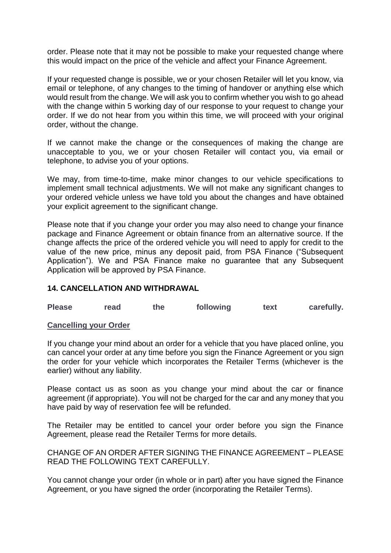order. Please note that it may not be possible to make your requested change where this would impact on the price of the vehicle and affect your Finance Agreement.

If your requested change is possible, we or your chosen Retailer will let you know, via email or telephone, of any changes to the timing of handover or anything else which would result from the change. We will ask you to confirm whether you wish to go ahead with the change within 5 working day of our response to your request to change your order. If we do not hear from you within this time, we will proceed with your original order, without the change.

If we cannot make the change or the consequences of making the change are unacceptable to you, we or your chosen Retailer will contact you, via email or telephone, to advise you of your options.

We may, from time-to-time, make minor changes to our vehicle specifications to implement small technical adjustments. We will not make any significant changes to your ordered vehicle unless we have told you about the changes and have obtained your explicit agreement to the significant change.

Please note that if you change your order you may also need to change your finance package and Finance Agreement or obtain finance from an alternative source. If the change affects the price of the ordered vehicle you will need to apply for credit to the value of the new price, minus any deposit paid, from PSA Finance ("Subsequent Application"). We and PSA Finance make no guarantee that any Subsequent Application will be approved by PSA Finance.

### **14. CANCELLATION AND WITHDRAWAL**

| <b>Please</b> | read | the | following | text | carefully. |
|---------------|------|-----|-----------|------|------------|
|               |      |     |           |      |            |

### **Cancelling your Order**

If you change your mind about an order for a vehicle that you have placed online, you can cancel your order at any time before you sign the Finance Agreement or you sign the order for your vehicle which incorporates the Retailer Terms (whichever is the earlier) without any liability.

Please contact us as soon as you change your mind about the car or finance agreement (if appropriate). You will not be charged for the car and any money that you have paid by way of reservation fee will be refunded.

The Retailer may be entitled to cancel your order before you sign the Finance Agreement, please read the Retailer Terms for more details.

CHANGE OF AN ORDER AFTER SIGNING THE FINANCE AGREEMENT – PLEASE READ THE FOLLOWING TEXT CAREFULLY.

You cannot change your order (in whole or in part) after you have signed the Finance Agreement, or you have signed the order (incorporating the Retailer Terms).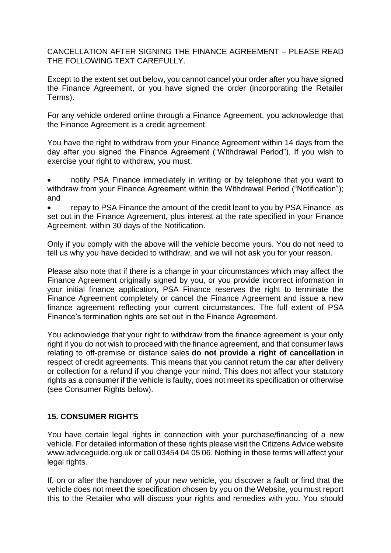CANCELLATION AFTER SIGNING THE FINANCE AGREEMENT – PLEASE READ THE FOLLOWING TEXT CAREFULLY.

Except to the extent set out below, you cannot cancel your order after you have signed the Finance Agreement, or you have signed the order (incorporating the Retailer Terms).

For any vehicle ordered online through a Finance Agreement, you acknowledge that the Finance Agreement is a credit agreement.

You have the right to withdraw from your Finance Agreement within 14 days from the day after you signed the Finance Agreement ("Withdrawal Period"). If you wish to exercise your right to withdraw, you must:

- notify PSA Finance immediately in writing or by telephone that you want to withdraw from your Finance Agreement within the Withdrawal Period ("Notification"); and
- repay to PSA Finance the amount of the credit leant to you by PSA Finance, as set out in the Finance Agreement, plus interest at the rate specified in your Finance Agreement, within 30 days of the Notification.

Only if you comply with the above will the vehicle become yours. You do not need to tell us why you have decided to withdraw, and we will not ask you for your reason.

Please also note that if there is a change in your circumstances which may affect the Finance Agreement originally signed by you, or you provide incorrect information in your initial finance application, PSA Finance reserves the right to terminate the Finance Agreement completely or cancel the Finance Agreement and issue a new finance agreement reflecting your current circumstances. The full extent of PSA Finance's termination rights are set out in the Finance Agreement.

You acknowledge that your right to withdraw from the finance agreement is your only right if you do not wish to proceed with the finance agreement, and that consumer laws relating to off-premise or distance sales **do not provide a right of cancellation** in respect of credit agreements. This means that you cannot return the car after delivery or collection for a refund if you change your mind. This does not affect your statutory rights as a consumer if the vehicle is faulty, does not meet its specification or otherwise (see Consumer Rights below).

### **15. CONSUMER RIGHTS**

You have certain legal rights in connection with your purchase/financing of a new vehicle. For detailed information of these rights please visit the Citizens Advice website www.adviceguide.org.uk or call 03454 04 05 06. Nothing in these terms will affect your legal rights.

If, on or after the handover of your new vehicle, you discover a fault or find that the vehicle does not meet the specification chosen by you on the Website, you must report this to the Retailer who will discuss your rights and remedies with you. You should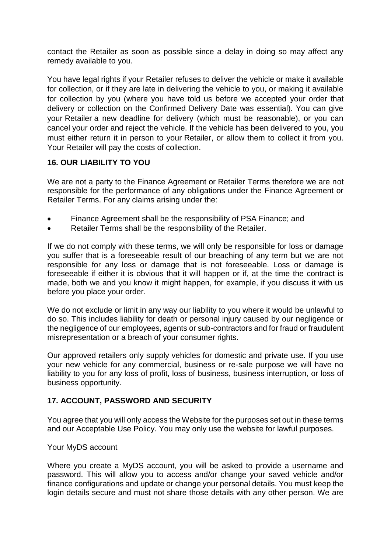contact the Retailer as soon as possible since a delay in doing so may affect any remedy available to you.

You have legal rights if your Retailer refuses to deliver the vehicle or make it available for collection, or if they are late in delivering the vehicle to you, or making it available for collection by you (where you have told us before we accepted your order that delivery or collection on the Confirmed Delivery Date was essential). You can give your Retailer a new deadline for delivery (which must be reasonable), or you can cancel your order and reject the vehicle. If the vehicle has been delivered to you, you must either return it in person to your Retailer, or allow them to collect it from you. Your Retailer will pay the costs of collection.

# **16. OUR LIABILITY TO YOU**

We are not a party to the Finance Agreement or Retailer Terms therefore we are not responsible for the performance of any obligations under the Finance Agreement or Retailer Terms. For any claims arising under the:

- Finance Agreement shall be the responsibility of PSA Finance; and
- Retailer Terms shall be the responsibility of the Retailer.

If we do not comply with these terms, we will only be responsible for loss or damage you suffer that is a foreseeable result of our breaching of any term but we are not responsible for any loss or damage that is not foreseeable. Loss or damage is foreseeable if either it is obvious that it will happen or if, at the time the contract is made, both we and you know it might happen, for example, if you discuss it with us before you place your order.

We do not exclude or limit in any way our liability to you where it would be unlawful to do so. This includes liability for death or personal injury caused by our negligence or the negligence of our employees, agents or sub-contractors and for fraud or fraudulent misrepresentation or a breach of your consumer rights.

Our approved retailers only supply vehicles for domestic and private use. If you use your new vehicle for any commercial, business or re-sale purpose we will have no liability to you for any loss of profit, loss of business, business interruption, or loss of business opportunity.

# **17. ACCOUNT, PASSWORD AND SECURITY**

You agree that you will only access the Website for the purposes set out in these terms and our Acceptable Use Policy. You may only use the website for lawful purposes.

### Your MyDS account

Where you create a MyDS account, you will be asked to provide a username and password. This will allow you to access and/or change your saved vehicle and/or finance configurations and update or change your personal details. You must keep the login details secure and must not share those details with any other person. We are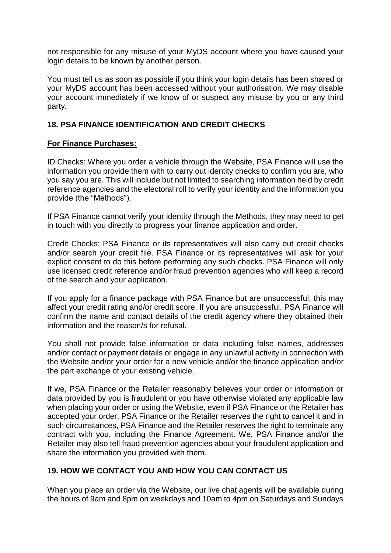not responsible for any misuse of your MyDS account where you have caused your login details to be known by another person.

You must tell us as soon as possible if you think your login details has been shared or your MyDS account has been accessed without your authorisation. We may disable your account immediately if we know of or suspect any misuse by you or any third party.

# **18. PSA FINANCE IDENTIFICATION AND CREDIT CHECKS**

# **For Finance Purchases:**

ID Checks: Where you order a vehicle through the Website, PSA Finance will use the information you provide them with to carry out identity checks to confirm you are, who you say you are. This will include but not limited to searching information held by credit reference agencies and the electoral roll to verify your identity and the information you provide (the "Methods").

If PSA Finance cannot verify your identity through the Methods, they may need to get in touch with you directly to progress your finance application and order.

Credit Checks: PSA Finance or its representatives will also carry out credit checks and/or search your credit file. PSA Finance or its representatives will ask for your explicit consent to do this before performing any such checks. PSA Finance will only use licensed credit reference and/or fraud prevention agencies who will keep a record of the search and your application.

If you apply for a finance package with PSA Finance but are unsuccessful, this may affect your credit rating and/or credit score. If you are unsuccessful, PSA Finance will confirm the name and contact details of the credit agency where they obtained their information and the reason/s for refusal.

You shall not provide false information or data including false names, addresses and/or contact or payment details or engage in any unlawful activity in connection with the Website and/or your order for a new vehicle and/or the finance application and/or the part exchange of your existing vehicle.

If we, PSA Finance or the Retailer reasonably believes your order or information or data provided by you is fraudulent or you have otherwise violated any applicable law when placing your order or using the Website, even if PSA Finance or the Retailer has accepted your order, PSA Finance or the Retailer reserves the right to cancel it and in such circumstances, PSA Finance and the Retailer reserves the right to terminate any contract with you, including the Finance Agreement. We, PSA Finance and/or the Retailer may also tell fraud prevention agencies about your fraudulent application and share the information you provided with them.

# **19. HOW WE CONTACT YOU AND HOW YOU CAN CONTACT US**

When you place an order via the Website, our live chat agents will be available during the hours of 9am and 8pm on weekdays and 10am to 4pm on Saturdays and Sundays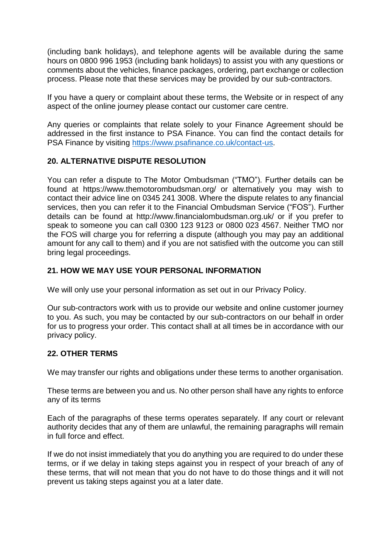(including bank holidays), and telephone agents will be available during the same hours on 0800 996 1953 (including bank holidays) to assist you with any questions or comments about the vehicles, finance packages, ordering, part exchange or collection process. Please note that these services may be provided by our sub-contractors.

If you have a query or complaint about these terms, the Website or in respect of any aspect of the online journey please contact our customer care centre.

Any queries or complaints that relate solely to your Finance Agreement should be addressed in the first instance to PSA Finance. You can find the contact details for PSA Finance by visiting [https://www.psafinance.co.uk/contact-us.](https://www.psafinance.co.uk/contact-us)

# **20. ALTERNATIVE DISPUTE RESOLUTION**

You can refer a dispute to The Motor Ombudsman ("TMO"). Further details can be found at https://www.themotorombudsman.org/ or alternatively you may wish to contact their advice line on 0345 241 3008. Where the dispute relates to any financial services, then you can refer it to the Financial Ombudsman Service ("FOS"). Further details can be found at http://www.financialombudsman.org.uk/ or if you prefer to speak to someone you can call 0300 123 9123 or 0800 023 4567. Neither TMO nor the FOS will charge you for referring a dispute (although you may pay an additional amount for any call to them) and if you are not satisfied with the outcome you can still bring legal proceedings.

### **21. HOW WE MAY USE YOUR PERSONAL INFORMATION**

We will only use your personal information as set out in our Privacy Policy.

Our sub-contractors work with us to provide our website and online customer journey to you. As such, you may be contacted by our sub-contractors on our behalf in order for us to progress your order. This contact shall at all times be in accordance with our privacy policy.

### **22. OTHER TERMS**

We may transfer our rights and obligations under these terms to another organisation.

These terms are between you and us. No other person shall have any rights to enforce any of its terms

Each of the paragraphs of these terms operates separately. If any court or relevant authority decides that any of them are unlawful, the remaining paragraphs will remain in full force and effect.

If we do not insist immediately that you do anything you are required to do under these terms, or if we delay in taking steps against you in respect of your breach of any of these terms, that will not mean that you do not have to do those things and it will not prevent us taking steps against you at a later date.